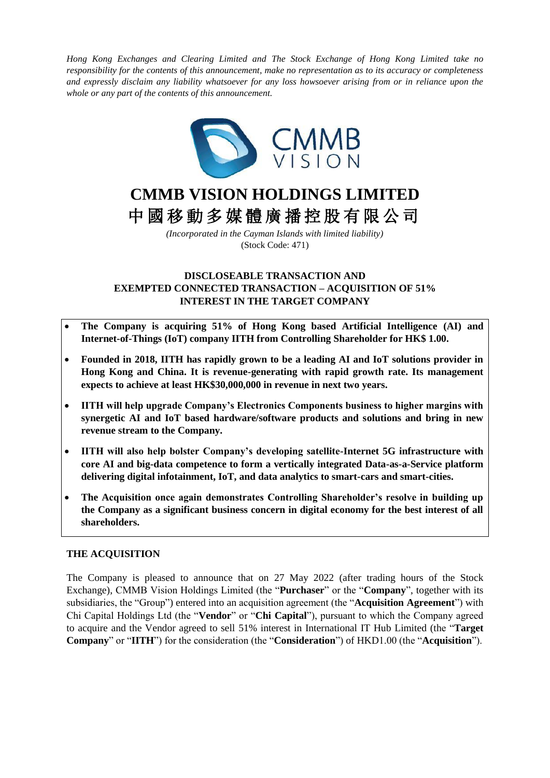*Hong Kong Exchanges and Clearing Limited and The Stock Exchange of Hong Kong Limited take no responsibility for the contents of this announcement, make no representation as to its accuracy or completeness and expressly disclaim any liability whatsoever for any loss howsoever arising from or in reliance upon the whole or any part of the contents of this announcement.*



# **CMMB VISION HOLDINGS LIMITED** 中 國 移 動 多 媒 體 廣 播 控 股 有 限 公 司

*(Incorporated in the Cayman Islands with limited liability)* (Stock Code: 471)

# **DISCLOSEABLE TRANSACTION AND EXEMPTED CONNECTED TRANSACTION – ACQUISITION OF 51% INTEREST IN THE TARGET COMPANY**

- **The Company is acquiring 51% of Hong Kong based Artificial Intelligence (AI) and Internet-of-Things (IoT) company IITH from Controlling Shareholder for HK\$ 1.00.**
- **Founded in 2018, IITH has rapidly grown to be a leading AI and IoT solutions provider in Hong Kong and China. It is revenue-generating with rapid growth rate. Its management expects to achieve at least HK\$30,000,000 in revenue in next two years.**
- **IITH will help upgrade Company's Electronics Components business to higher margins with synergetic AI and IoT based hardware/software products and solutions and bring in new revenue stream to the Company.**
- **IITH will also help bolster Company's developing satellite-Internet 5G infrastructure with core AI and big-data competence to form a vertically integrated Data-as-a-Service platform delivering digital infotainment, IoT, and data analytics to smart-cars and smart-cities.**
- **The Acquisition once again demonstrates Controlling Shareholder's resolve in building up the Company as a significant business concern in digital economy for the best interest of all shareholders.**

# **THE ACQUISITION**

The Company is pleased to announce that on 27 May 2022 (after trading hours of the Stock Exchange), CMMB Vision Holdings Limited (the "**Purchaser**" or the "**Company**", together with its subsidiaries, the "Group") entered into an acquisition agreement (the "**Acquisition Agreement**") with Chi Capital Holdings Ltd (the "**Vendor**" or "**Chi Capital**"), pursuant to which the Company agreed to acquire and the Vendor agreed to sell 51% interest in International IT Hub Limited (the "**Target Company**" or "**IITH**") for the consideration (the "**Consideration**") of HKD1.00 (the "**Acquisition**").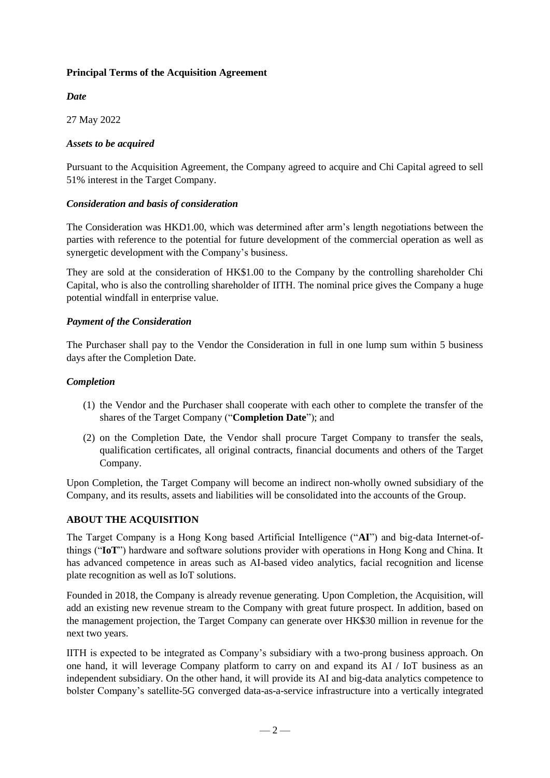# **Principal Terms of the Acquisition Agreement**

# *Date*

27 May 2022

# *Assets to be acquired*

Pursuant to the Acquisition Agreement, the Company agreed to acquire and Chi Capital agreed to sell 51% interest in the Target Company.

# *Consideration and basis of consideration*

The Consideration was HKD1.00, which was determined after arm's length negotiations between the parties with reference to the potential for future development of the commercial operation as well as synergetic development with the Company's business.

They are sold at the consideration of HK\$1.00 to the Company by the controlling shareholder Chi Capital, who is also the controlling shareholder of IITH. The nominal price gives the Company a huge potential windfall in enterprise value.

# *Payment of the Consideration*

The Purchaser shall pay to the Vendor the Consideration in full in one lump sum within 5 business days after the Completion Date.

# *Completion*

- (1) the Vendor and the Purchaser shall cooperate with each other to complete the transfer of the shares of the Target Company ("**Completion Date**"); and
- (2) on the Completion Date, the Vendor shall procure Target Company to transfer the seals, qualification certificates, all original contracts, financial documents and others of the Target Company.

Upon Completion, the Target Company will become an indirect non-wholly owned subsidiary of the Company, and its results, assets and liabilities will be consolidated into the accounts of the Group.

# **ABOUT THE ACQUISITION**

The Target Company is a Hong Kong based Artificial Intelligence ("**AI**") and big-data Internet-ofthings ("**IoT**") hardware and software solutions provider with operations in Hong Kong and China. It has advanced competence in areas such as AI-based video analytics, facial recognition and license plate recognition as well as IoT solutions.

Founded in 2018, the Company is already revenue generating. Upon Completion, the Acquisition, will add an existing new revenue stream to the Company with great future prospect. In addition, based on the management projection, the Target Company can generate over HK\$30 million in revenue for the next two years.

IITH is expected to be integrated as Company's subsidiary with a two-prong business approach. On one hand, it will leverage Company platform to carry on and expand its AI / IoT business as an independent subsidiary. On the other hand, it will provide its AI and big-data analytics competence to bolster Company's satellite-5G converged data-as-a-service infrastructure into a vertically integrated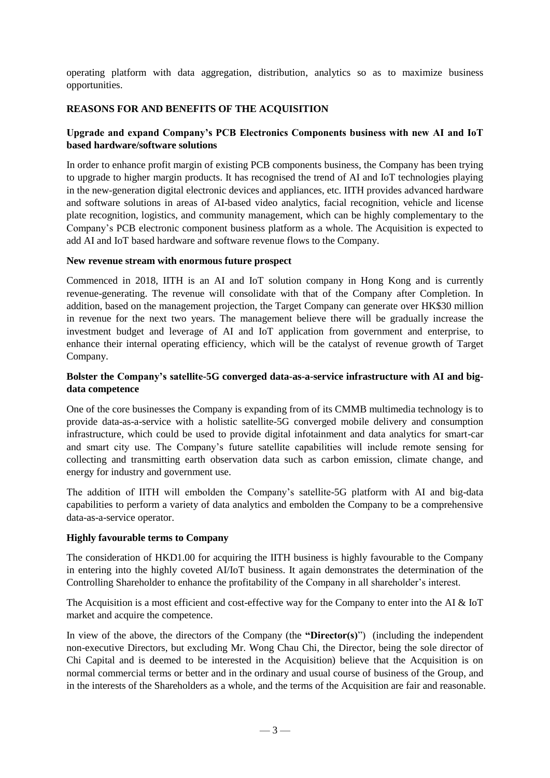operating platform with data aggregation, distribution, analytics so as to maximize business opportunities.

# **REASONS FOR AND BENEFITS OF THE ACQUISITION**

# **Upgrade and expand Company's PCB Electronics Components business with new AI and IoT based hardware/software solutions**

In order to enhance profit margin of existing PCB components business, the Company has been trying to upgrade to higher margin products. It has recognised the trend of AI and IoT technologies playing in the new-generation digital electronic devices and appliances, etc. IITH provides advanced hardware and software solutions in areas of AI-based video analytics, facial recognition, vehicle and license plate recognition, logistics, and community management, which can be highly complementary to the Company's PCB electronic component business platform as a whole. The Acquisition is expected to add AI and IoT based hardware and software revenue flows to the Company.

## **New revenue stream with enormous future prospect**

Commenced in 2018, IITH is an AI and IoT solution company in Hong Kong and is currently revenue-generating. The revenue will consolidate with that of the Company after Completion. In addition, based on the management projection, the Target Company can generate over HK\$30 million in revenue for the next two years. The management believe there will be gradually increase the investment budget and leverage of AI and IoT application from government and enterprise, to enhance their internal operating efficiency, which will be the catalyst of revenue growth of Target Company.

# **Bolster the Company's satellite-5G converged data-as-a-service infrastructure with AI and bigdata competence**

One of the core businesses the Company is expanding from of its CMMB multimedia technology is to provide data-as-a-service with a holistic satellite-5G converged mobile delivery and consumption infrastructure, which could be used to provide digital infotainment and data analytics for smart-car and smart city use. The Company's future satellite capabilities will include remote sensing for collecting and transmitting earth observation data such as carbon emission, climate change, and energy for industry and government use.

The addition of IITH will embolden the Company's satellite-5G platform with AI and big-data capabilities to perform a variety of data analytics and embolden the Company to be a comprehensive data-as-a-service operator.

# **Highly favourable terms to Company**

The consideration of HKD1.00 for acquiring the IITH business is highly favourable to the Company in entering into the highly coveted AI/IoT business. It again demonstrates the determination of the Controlling Shareholder to enhance the profitability of the Company in all shareholder's interest.

The Acquisition is a most efficient and cost-effective way for the Company to enter into the AI & IoT market and acquire the competence.

In view of the above, the directors of the Company (the **"Director(s)**") (including the independent non-executive Directors, but excluding Mr. Wong Chau Chi, the Director, being the sole director of Chi Capital and is deemed to be interested in the Acquisition) believe that the Acquisition is on normal commercial terms or better and in the ordinary and usual course of business of the Group, and in the interests of the Shareholders as a whole, and the terms of the Acquisition are fair and reasonable.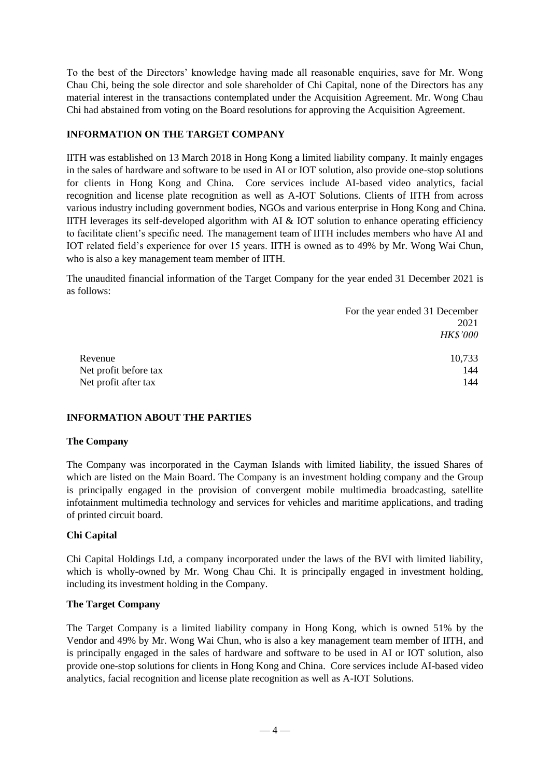To the best of the Directors' knowledge having made all reasonable enquiries, save for Mr. Wong Chau Chi, being the sole director and sole shareholder of Chi Capital, none of the Directors has any material interest in the transactions contemplated under the Acquisition Agreement. Mr. Wong Chau Chi had abstained from voting on the Board resolutions for approving the Acquisition Agreement.

## **INFORMATION ON THE TARGET COMPANY**

IITH was established on 13 March 2018 in Hong Kong a limited liability company. It mainly engages in the sales of hardware and software to be used in AI or IOT solution, also provide one-stop solutions for clients in Hong Kong and China. Core services include AI-based video analytics, facial recognition and license plate recognition as well as A-IOT Solutions. Clients of IITH from across various industry including government bodies, NGOs and various enterprise in Hong Kong and China. IITH leverages its self-developed algorithm with AI  $\&$  IOT solution to enhance operating efficiency to facilitate client's specific need. The management team of IITH includes members who have AI and IOT related field's experience for over 15 years. IITH is owned as to 49% by Mr. Wong Wai Chun, who is also a key management team member of IITH.

The unaudited financial information of the Target Company for the year ended 31 December 2021 is as follows:

|                       | For the year ended 31 December |
|-----------------------|--------------------------------|
|                       | 2021                           |
|                       | <b>HK\$'000</b>                |
|                       |                                |
| Revenue               | 10,733                         |
| Net profit before tax | 144                            |
| Net profit after tax  | 144                            |

# **INFORMATION ABOUT THE PARTIES**

#### **The Company**

The Company was incorporated in the Cayman Islands with limited liability, the issued Shares of which are listed on the Main Board. The Company is an investment holding company and the Group is principally engaged in the provision of convergent mobile multimedia broadcasting, satellite infotainment multimedia technology and services for vehicles and maritime applications, and trading of printed circuit board.

# **Chi Capital**

Chi Capital Holdings Ltd, a company incorporated under the laws of the BVI with limited liability, which is wholly-owned by Mr. Wong Chau Chi. It is principally engaged in investment holding, including its investment holding in the Company.

#### **The Target Company**

The Target Company is a limited liability company in Hong Kong, which is owned 51% by the Vendor and 49% by Mr. Wong Wai Chun, who is also a key management team member of IITH, and is principally engaged in the sales of hardware and software to be used in AI or IOT solution, also provide one-stop solutions for clients in Hong Kong and China. Core services include AI-based video analytics, facial recognition and license plate recognition as well as A-IOT Solutions.